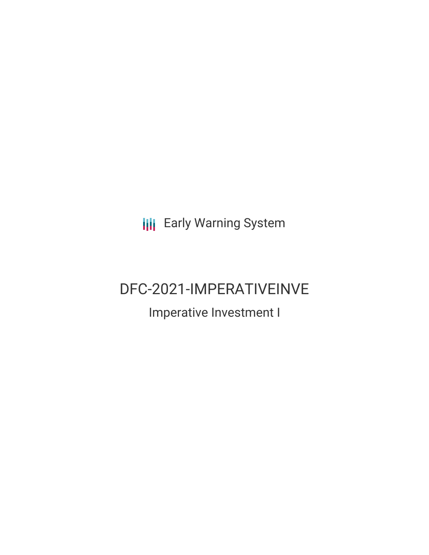**III** Early Warning System

# DFC-2021-IMPERATIVEINVE

## Imperative Investment I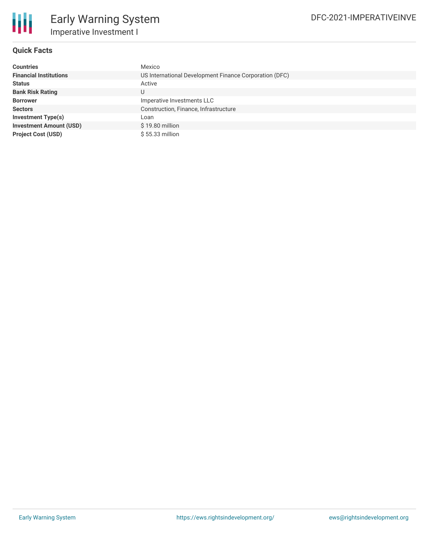

### **Quick Facts**

| <b>Countries</b>               | Mexico                                                 |  |  |  |
|--------------------------------|--------------------------------------------------------|--|--|--|
| <b>Financial Institutions</b>  | US International Development Finance Corporation (DFC) |  |  |  |
| <b>Status</b>                  | Active                                                 |  |  |  |
| <b>Bank Risk Rating</b>        | U                                                      |  |  |  |
| <b>Borrower</b>                | Imperative Investments LLC                             |  |  |  |
| <b>Sectors</b>                 | Construction, Finance, Infrastructure                  |  |  |  |
| Investment Type(s)             | Loan                                                   |  |  |  |
| <b>Investment Amount (USD)</b> | $$19.80$ million                                       |  |  |  |
| <b>Project Cost (USD)</b>      | $$55.33$ million                                       |  |  |  |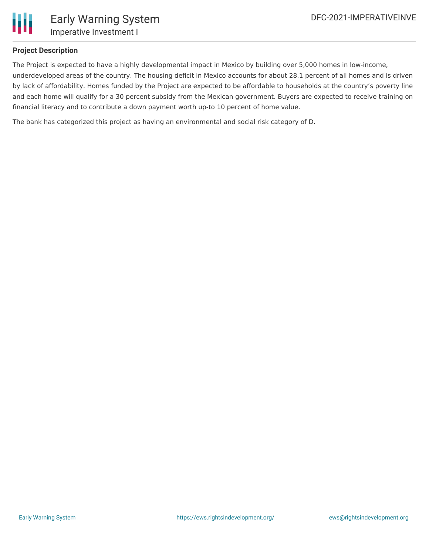

### **Project Description**

The Project is expected to have a highly developmental impact in Mexico by building over 5,000 homes in low-income, underdeveloped areas of the country. The housing deficit in Mexico accounts for about 28.1 percent of all homes and is driven by lack of affordability. Homes funded by the Project are expected to be affordable to households at the country's poverty line and each home will qualify for a 30 percent subsidy from the Mexican government. Buyers are expected to receive training on financial literacy and to contribute a down payment worth up-to 10 percent of home value.

The bank has categorized this project as having an environmental and social risk category of D.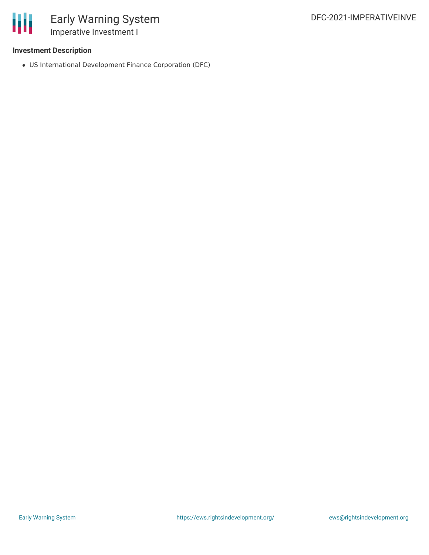

### **Investment Description**

US International Development Finance Corporation (DFC)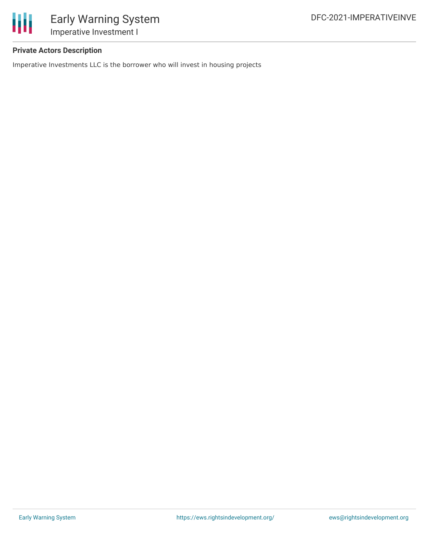

### **Private Actors Description**

Imperative Investments LLC is the borrower who will invest in housing projects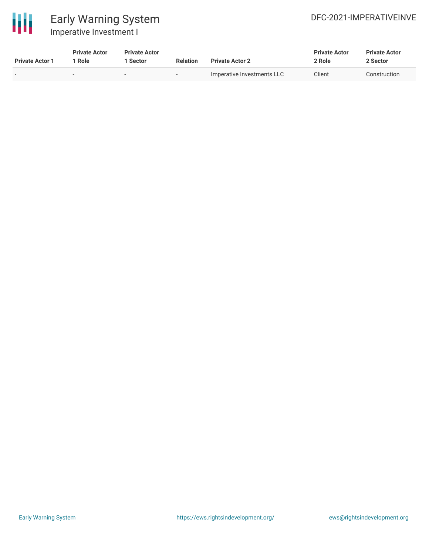

### Early Warning System Imperative Investment I

| <b>Private Actor 1</b> | <b>Private Actor</b><br>' Role | <b>Private Actor</b><br>1 Sector | <b>Relation</b> | <b>Private Actor 2</b>     | <b>Private Actor</b><br>2 Role | <b>Private Actor</b><br>2 Sector |
|------------------------|--------------------------------|----------------------------------|-----------------|----------------------------|--------------------------------|----------------------------------|
|                        |                                | $\overline{\phantom{a}}$         | . .             | Imperative Investments LLC | Client                         | Construction                     |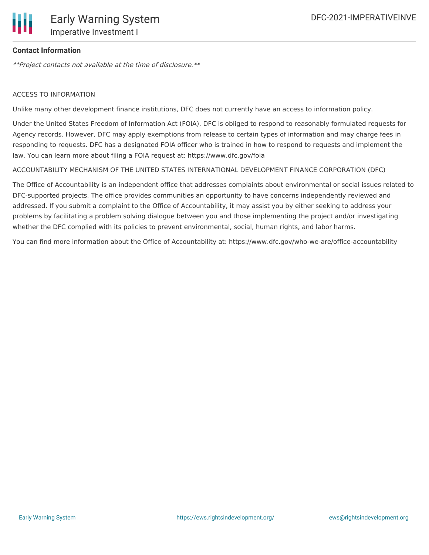

### **Contact Information**

\*\*Project contacts not available at the time of disclosure.\*\*

### ACCESS TO INFORMATION

Unlike many other development finance institutions, DFC does not currently have an access to information policy.

Under the United States Freedom of Information Act (FOIA), DFC is obliged to respond to reasonably formulated requests for Agency records. However, DFC may apply exemptions from release to certain types of information and may charge fees in responding to requests. DFC has a designated FOIA officer who is trained in how to respond to requests and implement the law. You can learn more about filing a FOIA request at: https://www.dfc.gov/foia

#### ACCOUNTABILITY MECHANISM OF THE UNITED STATES INTERNATIONAL DEVELOPMENT FINANCE CORPORATION (DFC)

The Office of Accountability is an independent office that addresses complaints about environmental or social issues related to DFC-supported projects. The office provides communities an opportunity to have concerns independently reviewed and addressed. If you submit a complaint to the Office of Accountability, it may assist you by either seeking to address your problems by facilitating a problem solving dialogue between you and those implementing the project and/or investigating whether the DFC complied with its policies to prevent environmental, social, human rights, and labor harms.

You can find more information about the Office of Accountability at: https://www.dfc.gov/who-we-are/office-accountability